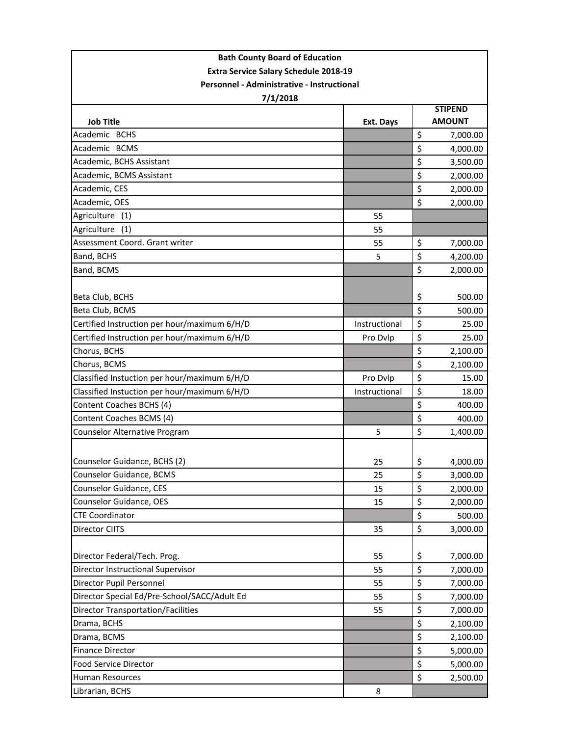| <b>Extra Service Salary Schedule 2018-19</b><br>Personnel - Administrative - Instructional<br>7/1/2018<br><b>STIPEND</b><br><b>AMOUNT</b><br><b>Job Title</b><br>Ext. Days<br>\$<br>Academic BCHS<br>7,000.00<br>Academic BCMS<br>\$<br>4,000.00<br>\$<br>Academic, BCHS Assistant<br>3,500.00<br>\$<br>Academic, BCMS Assistant<br>2,000.00<br>\$<br>Academic, CES<br>2,000.00<br>\$<br>Academic, OES<br>2,000.00<br>Agriculture (1)<br>55<br>Agriculture<br>(1)<br>55<br>Assessment Coord. Grant writer<br>55<br>\$<br>7,000.00<br>\$<br>Band, BCHS<br>5<br>4,200.00<br>\$<br>Band, BCMS<br>2,000.00<br>Beta Club, BCHS<br>\$<br>500.00<br>\$<br>Beta Club, BCMS<br>500.00<br>\$<br>Certified Instruction per hour/maximum 6/H/D<br>25.00<br>Instructional<br>\$<br>Certified Instruction per hour/maximum 6/H/D<br>Pro Dvlp<br>25.00<br>\$<br>Chorus, BCHS<br>2,100.00<br>\$<br>Chorus, BCMS<br>2,100.00<br>\$<br>Classified Instuction per hour/maximum 6/H/D<br>Pro Dvlp<br>15.00<br>\$<br>Classified Instuction per hour/maximum 6/H/D<br>Instructional<br>18.00<br>\$<br>Content Coaches BCHS (4)<br>400.00<br>\$<br>Content Coaches BCMS (4)<br>400.00<br>\$<br>Counselor Alternative Program<br>5<br>1,400.00<br>Counselor Guidance, BCHS (2)<br>\$<br>25<br>4,000.00<br>Counselor Guidance, BCMS<br>\$<br>25<br>3,000.00<br>Counselor Guidance, CES<br>\$<br>15<br>2,000.00<br>\$<br>Counselor Guidance, OES<br>15<br>2,000.00<br>\$<br><b>CTE Coordinator</b><br>500.00<br>\$<br>Director CIITS<br>35<br>3,000.00<br>Director Federal/Tech. Prog.<br>\$<br>55<br>7,000.00<br>\$<br>Director Instructional Supervisor<br>55<br>7,000.00<br>Director Pupil Personnel<br>\$<br>55<br>7,000.00<br>\$<br>Director Special Ed/Pre-School/SACC/Adult Ed<br>55<br>7,000.00<br><b>Director Transportation/Facilities</b><br>\$<br>55<br>7,000.00<br>\$<br>Drama, BCHS<br>2,100.00<br>\$<br>Drama, BCMS<br>2,100.00<br>\$<br><b>Finance Director</b><br>5,000.00<br>\$<br>Food Service Director<br>5,000.00<br>\$<br><b>Human Resources</b><br>2,500.00<br>Librarian, BCHS<br>8 | <b>Bath County Board of Education</b> |  |  |  |  |  |  |
|----------------------------------------------------------------------------------------------------------------------------------------------------------------------------------------------------------------------------------------------------------------------------------------------------------------------------------------------------------------------------------------------------------------------------------------------------------------------------------------------------------------------------------------------------------------------------------------------------------------------------------------------------------------------------------------------------------------------------------------------------------------------------------------------------------------------------------------------------------------------------------------------------------------------------------------------------------------------------------------------------------------------------------------------------------------------------------------------------------------------------------------------------------------------------------------------------------------------------------------------------------------------------------------------------------------------------------------------------------------------------------------------------------------------------------------------------------------------------------------------------------------------------------------------------------------------------------------------------------------------------------------------------------------------------------------------------------------------------------------------------------------------------------------------------------------------------------------------------------------------------------------------------------------------------------------------------------------------------------------------------------------------------------------------------------------------------------|---------------------------------------|--|--|--|--|--|--|
|                                                                                                                                                                                                                                                                                                                                                                                                                                                                                                                                                                                                                                                                                                                                                                                                                                                                                                                                                                                                                                                                                                                                                                                                                                                                                                                                                                                                                                                                                                                                                                                                                                                                                                                                                                                                                                                                                                                                                                                                                                                                                  |                                       |  |  |  |  |  |  |
|                                                                                                                                                                                                                                                                                                                                                                                                                                                                                                                                                                                                                                                                                                                                                                                                                                                                                                                                                                                                                                                                                                                                                                                                                                                                                                                                                                                                                                                                                                                                                                                                                                                                                                                                                                                                                                                                                                                                                                                                                                                                                  |                                       |  |  |  |  |  |  |
|                                                                                                                                                                                                                                                                                                                                                                                                                                                                                                                                                                                                                                                                                                                                                                                                                                                                                                                                                                                                                                                                                                                                                                                                                                                                                                                                                                                                                                                                                                                                                                                                                                                                                                                                                                                                                                                                                                                                                                                                                                                                                  |                                       |  |  |  |  |  |  |
|                                                                                                                                                                                                                                                                                                                                                                                                                                                                                                                                                                                                                                                                                                                                                                                                                                                                                                                                                                                                                                                                                                                                                                                                                                                                                                                                                                                                                                                                                                                                                                                                                                                                                                                                                                                                                                                                                                                                                                                                                                                                                  |                                       |  |  |  |  |  |  |
|                                                                                                                                                                                                                                                                                                                                                                                                                                                                                                                                                                                                                                                                                                                                                                                                                                                                                                                                                                                                                                                                                                                                                                                                                                                                                                                                                                                                                                                                                                                                                                                                                                                                                                                                                                                                                                                                                                                                                                                                                                                                                  |                                       |  |  |  |  |  |  |
|                                                                                                                                                                                                                                                                                                                                                                                                                                                                                                                                                                                                                                                                                                                                                                                                                                                                                                                                                                                                                                                                                                                                                                                                                                                                                                                                                                                                                                                                                                                                                                                                                                                                                                                                                                                                                                                                                                                                                                                                                                                                                  |                                       |  |  |  |  |  |  |
|                                                                                                                                                                                                                                                                                                                                                                                                                                                                                                                                                                                                                                                                                                                                                                                                                                                                                                                                                                                                                                                                                                                                                                                                                                                                                                                                                                                                                                                                                                                                                                                                                                                                                                                                                                                                                                                                                                                                                                                                                                                                                  |                                       |  |  |  |  |  |  |
|                                                                                                                                                                                                                                                                                                                                                                                                                                                                                                                                                                                                                                                                                                                                                                                                                                                                                                                                                                                                                                                                                                                                                                                                                                                                                                                                                                                                                                                                                                                                                                                                                                                                                                                                                                                                                                                                                                                                                                                                                                                                                  |                                       |  |  |  |  |  |  |
|                                                                                                                                                                                                                                                                                                                                                                                                                                                                                                                                                                                                                                                                                                                                                                                                                                                                                                                                                                                                                                                                                                                                                                                                                                                                                                                                                                                                                                                                                                                                                                                                                                                                                                                                                                                                                                                                                                                                                                                                                                                                                  |                                       |  |  |  |  |  |  |
|                                                                                                                                                                                                                                                                                                                                                                                                                                                                                                                                                                                                                                                                                                                                                                                                                                                                                                                                                                                                                                                                                                                                                                                                                                                                                                                                                                                                                                                                                                                                                                                                                                                                                                                                                                                                                                                                                                                                                                                                                                                                                  |                                       |  |  |  |  |  |  |
|                                                                                                                                                                                                                                                                                                                                                                                                                                                                                                                                                                                                                                                                                                                                                                                                                                                                                                                                                                                                                                                                                                                                                                                                                                                                                                                                                                                                                                                                                                                                                                                                                                                                                                                                                                                                                                                                                                                                                                                                                                                                                  |                                       |  |  |  |  |  |  |
|                                                                                                                                                                                                                                                                                                                                                                                                                                                                                                                                                                                                                                                                                                                                                                                                                                                                                                                                                                                                                                                                                                                                                                                                                                                                                                                                                                                                                                                                                                                                                                                                                                                                                                                                                                                                                                                                                                                                                                                                                                                                                  |                                       |  |  |  |  |  |  |
|                                                                                                                                                                                                                                                                                                                                                                                                                                                                                                                                                                                                                                                                                                                                                                                                                                                                                                                                                                                                                                                                                                                                                                                                                                                                                                                                                                                                                                                                                                                                                                                                                                                                                                                                                                                                                                                                                                                                                                                                                                                                                  |                                       |  |  |  |  |  |  |
|                                                                                                                                                                                                                                                                                                                                                                                                                                                                                                                                                                                                                                                                                                                                                                                                                                                                                                                                                                                                                                                                                                                                                                                                                                                                                                                                                                                                                                                                                                                                                                                                                                                                                                                                                                                                                                                                                                                                                                                                                                                                                  |                                       |  |  |  |  |  |  |
|                                                                                                                                                                                                                                                                                                                                                                                                                                                                                                                                                                                                                                                                                                                                                                                                                                                                                                                                                                                                                                                                                                                                                                                                                                                                                                                                                                                                                                                                                                                                                                                                                                                                                                                                                                                                                                                                                                                                                                                                                                                                                  |                                       |  |  |  |  |  |  |
|                                                                                                                                                                                                                                                                                                                                                                                                                                                                                                                                                                                                                                                                                                                                                                                                                                                                                                                                                                                                                                                                                                                                                                                                                                                                                                                                                                                                                                                                                                                                                                                                                                                                                                                                                                                                                                                                                                                                                                                                                                                                                  |                                       |  |  |  |  |  |  |
|                                                                                                                                                                                                                                                                                                                                                                                                                                                                                                                                                                                                                                                                                                                                                                                                                                                                                                                                                                                                                                                                                                                                                                                                                                                                                                                                                                                                                                                                                                                                                                                                                                                                                                                                                                                                                                                                                                                                                                                                                                                                                  |                                       |  |  |  |  |  |  |
|                                                                                                                                                                                                                                                                                                                                                                                                                                                                                                                                                                                                                                                                                                                                                                                                                                                                                                                                                                                                                                                                                                                                                                                                                                                                                                                                                                                                                                                                                                                                                                                                                                                                                                                                                                                                                                                                                                                                                                                                                                                                                  |                                       |  |  |  |  |  |  |
|                                                                                                                                                                                                                                                                                                                                                                                                                                                                                                                                                                                                                                                                                                                                                                                                                                                                                                                                                                                                                                                                                                                                                                                                                                                                                                                                                                                                                                                                                                                                                                                                                                                                                                                                                                                                                                                                                                                                                                                                                                                                                  |                                       |  |  |  |  |  |  |
|                                                                                                                                                                                                                                                                                                                                                                                                                                                                                                                                                                                                                                                                                                                                                                                                                                                                                                                                                                                                                                                                                                                                                                                                                                                                                                                                                                                                                                                                                                                                                                                                                                                                                                                                                                                                                                                                                                                                                                                                                                                                                  |                                       |  |  |  |  |  |  |
|                                                                                                                                                                                                                                                                                                                                                                                                                                                                                                                                                                                                                                                                                                                                                                                                                                                                                                                                                                                                                                                                                                                                                                                                                                                                                                                                                                                                                                                                                                                                                                                                                                                                                                                                                                                                                                                                                                                                                                                                                                                                                  |                                       |  |  |  |  |  |  |
|                                                                                                                                                                                                                                                                                                                                                                                                                                                                                                                                                                                                                                                                                                                                                                                                                                                                                                                                                                                                                                                                                                                                                                                                                                                                                                                                                                                                                                                                                                                                                                                                                                                                                                                                                                                                                                                                                                                                                                                                                                                                                  |                                       |  |  |  |  |  |  |
|                                                                                                                                                                                                                                                                                                                                                                                                                                                                                                                                                                                                                                                                                                                                                                                                                                                                                                                                                                                                                                                                                                                                                                                                                                                                                                                                                                                                                                                                                                                                                                                                                                                                                                                                                                                                                                                                                                                                                                                                                                                                                  |                                       |  |  |  |  |  |  |
|                                                                                                                                                                                                                                                                                                                                                                                                                                                                                                                                                                                                                                                                                                                                                                                                                                                                                                                                                                                                                                                                                                                                                                                                                                                                                                                                                                                                                                                                                                                                                                                                                                                                                                                                                                                                                                                                                                                                                                                                                                                                                  |                                       |  |  |  |  |  |  |
|                                                                                                                                                                                                                                                                                                                                                                                                                                                                                                                                                                                                                                                                                                                                                                                                                                                                                                                                                                                                                                                                                                                                                                                                                                                                                                                                                                                                                                                                                                                                                                                                                                                                                                                                                                                                                                                                                                                                                                                                                                                                                  |                                       |  |  |  |  |  |  |
|                                                                                                                                                                                                                                                                                                                                                                                                                                                                                                                                                                                                                                                                                                                                                                                                                                                                                                                                                                                                                                                                                                                                                                                                                                                                                                                                                                                                                                                                                                                                                                                                                                                                                                                                                                                                                                                                                                                                                                                                                                                                                  |                                       |  |  |  |  |  |  |
|                                                                                                                                                                                                                                                                                                                                                                                                                                                                                                                                                                                                                                                                                                                                                                                                                                                                                                                                                                                                                                                                                                                                                                                                                                                                                                                                                                                                                                                                                                                                                                                                                                                                                                                                                                                                                                                                                                                                                                                                                                                                                  |                                       |  |  |  |  |  |  |
|                                                                                                                                                                                                                                                                                                                                                                                                                                                                                                                                                                                                                                                                                                                                                                                                                                                                                                                                                                                                                                                                                                                                                                                                                                                                                                                                                                                                                                                                                                                                                                                                                                                                                                                                                                                                                                                                                                                                                                                                                                                                                  |                                       |  |  |  |  |  |  |
|                                                                                                                                                                                                                                                                                                                                                                                                                                                                                                                                                                                                                                                                                                                                                                                                                                                                                                                                                                                                                                                                                                                                                                                                                                                                                                                                                                                                                                                                                                                                                                                                                                                                                                                                                                                                                                                                                                                                                                                                                                                                                  |                                       |  |  |  |  |  |  |
|                                                                                                                                                                                                                                                                                                                                                                                                                                                                                                                                                                                                                                                                                                                                                                                                                                                                                                                                                                                                                                                                                                                                                                                                                                                                                                                                                                                                                                                                                                                                                                                                                                                                                                                                                                                                                                                                                                                                                                                                                                                                                  |                                       |  |  |  |  |  |  |
|                                                                                                                                                                                                                                                                                                                                                                                                                                                                                                                                                                                                                                                                                                                                                                                                                                                                                                                                                                                                                                                                                                                                                                                                                                                                                                                                                                                                                                                                                                                                                                                                                                                                                                                                                                                                                                                                                                                                                                                                                                                                                  |                                       |  |  |  |  |  |  |
|                                                                                                                                                                                                                                                                                                                                                                                                                                                                                                                                                                                                                                                                                                                                                                                                                                                                                                                                                                                                                                                                                                                                                                                                                                                                                                                                                                                                                                                                                                                                                                                                                                                                                                                                                                                                                                                                                                                                                                                                                                                                                  |                                       |  |  |  |  |  |  |
|                                                                                                                                                                                                                                                                                                                                                                                                                                                                                                                                                                                                                                                                                                                                                                                                                                                                                                                                                                                                                                                                                                                                                                                                                                                                                                                                                                                                                                                                                                                                                                                                                                                                                                                                                                                                                                                                                                                                                                                                                                                                                  |                                       |  |  |  |  |  |  |
|                                                                                                                                                                                                                                                                                                                                                                                                                                                                                                                                                                                                                                                                                                                                                                                                                                                                                                                                                                                                                                                                                                                                                                                                                                                                                                                                                                                                                                                                                                                                                                                                                                                                                                                                                                                                                                                                                                                                                                                                                                                                                  |                                       |  |  |  |  |  |  |
|                                                                                                                                                                                                                                                                                                                                                                                                                                                                                                                                                                                                                                                                                                                                                                                                                                                                                                                                                                                                                                                                                                                                                                                                                                                                                                                                                                                                                                                                                                                                                                                                                                                                                                                                                                                                                                                                                                                                                                                                                                                                                  |                                       |  |  |  |  |  |  |
|                                                                                                                                                                                                                                                                                                                                                                                                                                                                                                                                                                                                                                                                                                                                                                                                                                                                                                                                                                                                                                                                                                                                                                                                                                                                                                                                                                                                                                                                                                                                                                                                                                                                                                                                                                                                                                                                                                                                                                                                                                                                                  |                                       |  |  |  |  |  |  |
|                                                                                                                                                                                                                                                                                                                                                                                                                                                                                                                                                                                                                                                                                                                                                                                                                                                                                                                                                                                                                                                                                                                                                                                                                                                                                                                                                                                                                                                                                                                                                                                                                                                                                                                                                                                                                                                                                                                                                                                                                                                                                  |                                       |  |  |  |  |  |  |
|                                                                                                                                                                                                                                                                                                                                                                                                                                                                                                                                                                                                                                                                                                                                                                                                                                                                                                                                                                                                                                                                                                                                                                                                                                                                                                                                                                                                                                                                                                                                                                                                                                                                                                                                                                                                                                                                                                                                                                                                                                                                                  |                                       |  |  |  |  |  |  |
|                                                                                                                                                                                                                                                                                                                                                                                                                                                                                                                                                                                                                                                                                                                                                                                                                                                                                                                                                                                                                                                                                                                                                                                                                                                                                                                                                                                                                                                                                                                                                                                                                                                                                                                                                                                                                                                                                                                                                                                                                                                                                  |                                       |  |  |  |  |  |  |
|                                                                                                                                                                                                                                                                                                                                                                                                                                                                                                                                                                                                                                                                                                                                                                                                                                                                                                                                                                                                                                                                                                                                                                                                                                                                                                                                                                                                                                                                                                                                                                                                                                                                                                                                                                                                                                                                                                                                                                                                                                                                                  |                                       |  |  |  |  |  |  |
|                                                                                                                                                                                                                                                                                                                                                                                                                                                                                                                                                                                                                                                                                                                                                                                                                                                                                                                                                                                                                                                                                                                                                                                                                                                                                                                                                                                                                                                                                                                                                                                                                                                                                                                                                                                                                                                                                                                                                                                                                                                                                  |                                       |  |  |  |  |  |  |
|                                                                                                                                                                                                                                                                                                                                                                                                                                                                                                                                                                                                                                                                                                                                                                                                                                                                                                                                                                                                                                                                                                                                                                                                                                                                                                                                                                                                                                                                                                                                                                                                                                                                                                                                                                                                                                                                                                                                                                                                                                                                                  |                                       |  |  |  |  |  |  |
|                                                                                                                                                                                                                                                                                                                                                                                                                                                                                                                                                                                                                                                                                                                                                                                                                                                                                                                                                                                                                                                                                                                                                                                                                                                                                                                                                                                                                                                                                                                                                                                                                                                                                                                                                                                                                                                                                                                                                                                                                                                                                  |                                       |  |  |  |  |  |  |
|                                                                                                                                                                                                                                                                                                                                                                                                                                                                                                                                                                                                                                                                                                                                                                                                                                                                                                                                                                                                                                                                                                                                                                                                                                                                                                                                                                                                                                                                                                                                                                                                                                                                                                                                                                                                                                                                                                                                                                                                                                                                                  |                                       |  |  |  |  |  |  |
|                                                                                                                                                                                                                                                                                                                                                                                                                                                                                                                                                                                                                                                                                                                                                                                                                                                                                                                                                                                                                                                                                                                                                                                                                                                                                                                                                                                                                                                                                                                                                                                                                                                                                                                                                                                                                                                                                                                                                                                                                                                                                  |                                       |  |  |  |  |  |  |